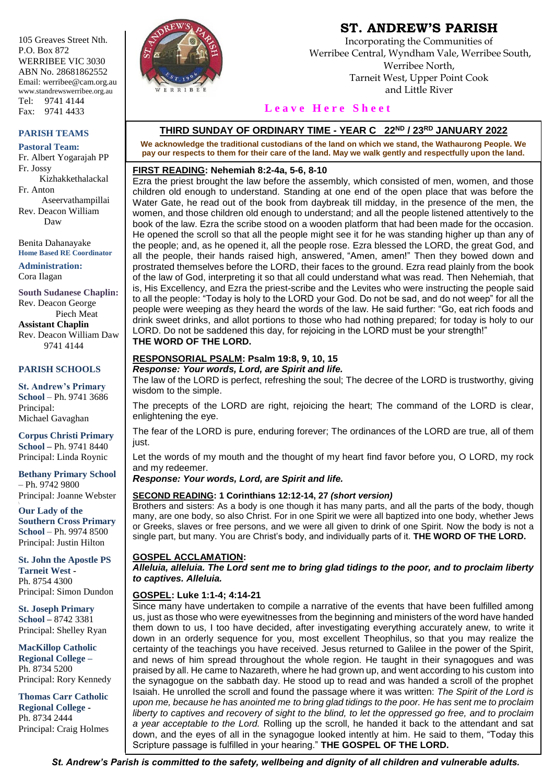105 Greaves Street Nth. P.O. Box 872 WERRIBEE VIC 3030 ABN No. 28681862552 Email: werribee@cam.org.au www.standrewswerribee.org.au Tel: 9741 4144 Fax: 9741 4433

#### **PARISH TEAMS**

**Pastoral Team:** Fr. Albert Yogarajah PP Fr. Jossy Kizhakkethalackal Fr. Anton Aseervathampillai Rev. Deacon William Daw

Benita Dahanayake **Home Based RE Coordinator**

**Administration:** Cora Ilagan

**South Sudanese Chaplin:** Rev. Deacon George Piech Meat **Assistant Chaplin** Rev. Deacon William Daw 9741 4144

### **PARISH SCHOOLS**

**St. Andrew's Primary School** – Ph. 9741 3686 Principal: Michael Gavaghan

**Corpus Christi Primary School –** Ph. 9741 8440 Principal: Linda Roynic

**Bethany Primary School** – Ph. 9742 9800 Principal: Joanne Webster

**Our Lady of the Southern Cross Primary School** – Ph. 9974 8500 Principal: Justin Hilton

**St. John the Apostle PS Tarneit West -** Ph. 8754 4300 Principal: Simon Dundon

**St. Joseph Primary School –** 8742 3381 Principal: Shelley Ryan

**MacKillop Catholic Regional College –** Ph. 8734 5200 Principal: Rory Kennedy

**Thomas Carr Catholic Regional College -** Ph. 8734 2444 Principal: Craig Holmes



# **ST. ANDREW'S PARISH**

Incorporating the Communities of Werribee Central, Wyndham Vale, Werribee South, Werribee North, Tarneit West, Upper Point Cook and Little River

### Leave Here Sheet

### **THIRD SUNDAY OF ORDINARY TIME - YEAR C 22ND / 23RD JANUARY 2022**

**We acknowledge the traditional custodians of the land on which we stand, the Wathaurong People. We pay our respects to them for their care of the land. May we walk gently and respectfully upon the land.**

#### **FIRST READING: Nehemiah 8:2-4a, 5-6, 8-10**

Ezra the priest brought the law before the assembly, which consisted of men, women, and those children old enough to understand. Standing at one end of the open place that was before the Water Gate, he read out of the book from daybreak till midday, in the presence of the men, the women, and those children old enough to understand; and all the people listened attentively to the book of the law. Ezra the scribe stood on a wooden platform that had been made for the occasion. He opened the scroll so that all the people might see it for he was standing higher up than any of the people; and, as he opened it, all the people rose. Ezra blessed the LORD, the great God, and all the people, their hands raised high, answered, "Amen, amen!" Then they bowed down and prostrated themselves before the LORD, their faces to the ground. Ezra read plainly from the book of the law of God, interpreting it so that all could understand what was read. Then Nehemiah, that is, His Excellency, and Ezra the priest-scribe and the Levites who were instructing the people said to all the people: "Today is holy to the LORD your God. Do not be sad, and do not weep" for all the people were weeping as they heard the words of the law. He said further: "Go, eat rich foods and drink sweet drinks, and allot portions to those who had nothing prepared; for today is holy to our LORD. Do not be saddened this day, for rejoicing in the LORD must be your strength!" **THE WORD OF THE LORD.**

### **RESPONSORIAL PSALM: Psalm 19:8, 9, 10, 15** *Response: Your words, Lord, are Spirit and life.*

The law of the LORD is perfect, refreshing the soul; The decree of the LORD is trustworthy, giving wisdom to the simple.

The precepts of the LORD are right, rejoicing the heart; The command of the LORD is clear, enlightening the eye.

The fear of the LORD is pure, enduring forever; The ordinances of the LORD are true, all of them just.

Let the words of my mouth and the thought of my heart find favor before you, O LORD, my rock and my redeemer.

*Response: Your words, Lord, are Spirit and life.*

### **SECOND READING: 1 Corinthians 12:12-14, 27** *(short version)*

Brothers and sisters: As a body is one though it has many parts, and all the parts of the body, though many, are one body, so also Christ. For in one Spirit we were all baptized into one body, whether Jews or Greeks, slaves or free persons, and we were all given to drink of one Spirit. Now the body is not a single part, but many. You are Christ's body, and individually parts of it. **THE WORD OF THE LORD.**

### **GOSPEL ACCLAMATION:**

*Alleluia, alleluia. The Lord sent me to bring glad tidings to the poor, and to proclaim liberty to captives. Alleluia.*

### **GOSPEL: Luke 1:1-4; 4:14-21**

Since many have undertaken to compile a narrative of the events that have been fulfilled among us, just as those who were eyewitnesses from the beginning and ministers of the word have handed them down to us, I too have decided, after investigating everything accurately anew, to write it down in an orderly sequence for you, most excellent Theophilus, so that you may realize the certainty of the teachings you have received. Jesus returned to Galilee in the power of the Spirit, and news of him spread throughout the whole region. He taught in their synagogues and was praised by all. He came to Nazareth, where he had grown up, and went according to his custom into the synagogue on the sabbath day. He stood up to read and was handed a scroll of the prophet Isaiah. He unrolled the scroll and found the passage where it was written: *The Spirit of the Lord is upon me, because he has anointed me to bring glad tidings to the poor. He has sent me to proclaim liberty to captives and recovery of sight to the blind, to let the oppressed go free, and to proclaim a year acceptable to the Lord.* Rolling up the scroll, he handed it back to the attendant and sat down, and the eyes of all in the synagogue looked intently at him. He said to them, "Today this Scripture passage is fulfilled in your hearing." **THE GOSPEL OF THE LORD.**

*St. Andrew's Parish is committed to the safety, wellbeing and dignity of all children and vulnerable adults.*